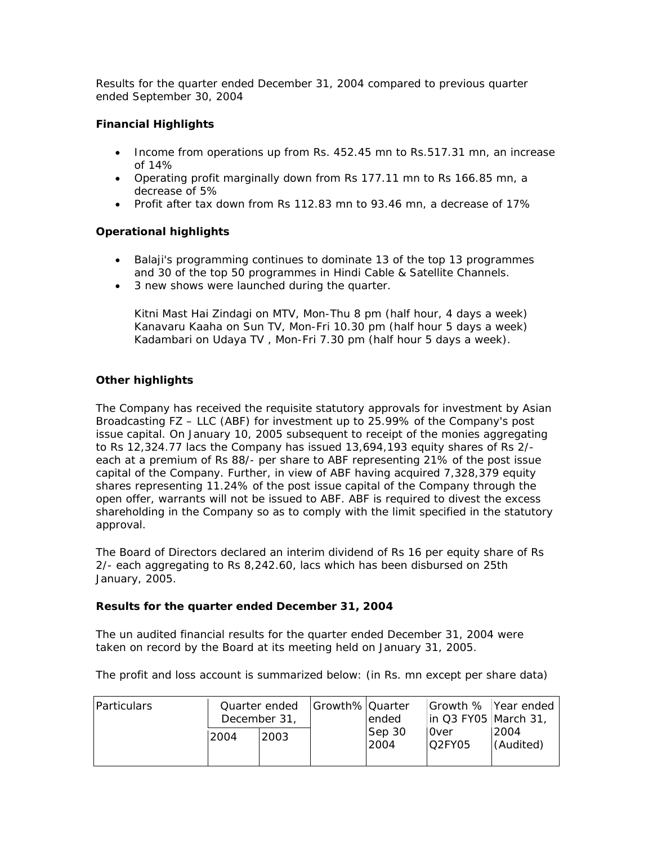Results for the quarter ended December 31, 2004 compared to previous quarter ended September 30, 2004

# **Financial Highlights**

- Income from operations up from Rs. 452.45 mn to Rs.517.31 mn, an increase of 14%
- Operating profit marginally down from Rs 177.11 mn to Rs 166.85 mn, a decrease of 5%
- Profit after tax down from Rs 112.83 mn to 93.46 mn, a decrease of 17%

# **Operational highlights**

- Balaji's programming continues to dominate 13 of the top 13 programmes and 30 of the top 50 programmes in Hindi Cable & Satellite Channels.
- 3 new shows were launched during the quarter.

Kitni Mast Hai Zindagi on MTV, Mon-Thu 8 pm (half hour, 4 days a week) Kanavaru Kaaha on Sun TV, Mon-Fri 10.30 pm (half hour 5 days a week) Kadambari on Udaya TV , Mon-Fri 7.30 pm (half hour 5 days a week).

# **Other highlights**

The Company has received the requisite statutory approvals for investment by Asian Broadcasting FZ – LLC (ABF) for investment up to 25.99% of the Company's post issue capital. On January 10, 2005 subsequent to receipt of the monies aggregating to Rs 12,324.77 lacs the Company has issued 13,694,193 equity shares of Rs 2/ each at a premium of Rs 88/- per share to ABF representing 21% of the post issue capital of the Company. Further, in view of ABF having acquired 7,328,379 equity shares representing 11.24% of the post issue capital of the Company through the open offer, warrants will not be issued to ABF. ABF is required to divest the excess shareholding in the Company so as to comply with the limit specified in the statutory approval.

The Board of Directors declared an interim dividend of Rs 16 per equity share of Rs 2/- each aggregating to Rs 8,242.60, lacs which has been disbursed on 25th January, 2005.

## **Results for the quarter ended December 31, 2004**

The un audited financial results for the quarter ended December 31, 2004 were taken on record by the Board at its meeting held on January 31, 2005.

The profit and loss account is summarized below: (in Rs. mn except per share data)

| <b>Particulars</b> | Quarter ended<br>December 31, |      | Growth% Quarter | lended         | in Q3 FY05   March 31, | Growth % Year ended |
|--------------------|-------------------------------|------|-----------------|----------------|------------------------|---------------------|
|                    | 2004                          | 2003 |                 | Sep 30<br>2004 | Over<br>O2FY05         | 2004<br>(Audited)   |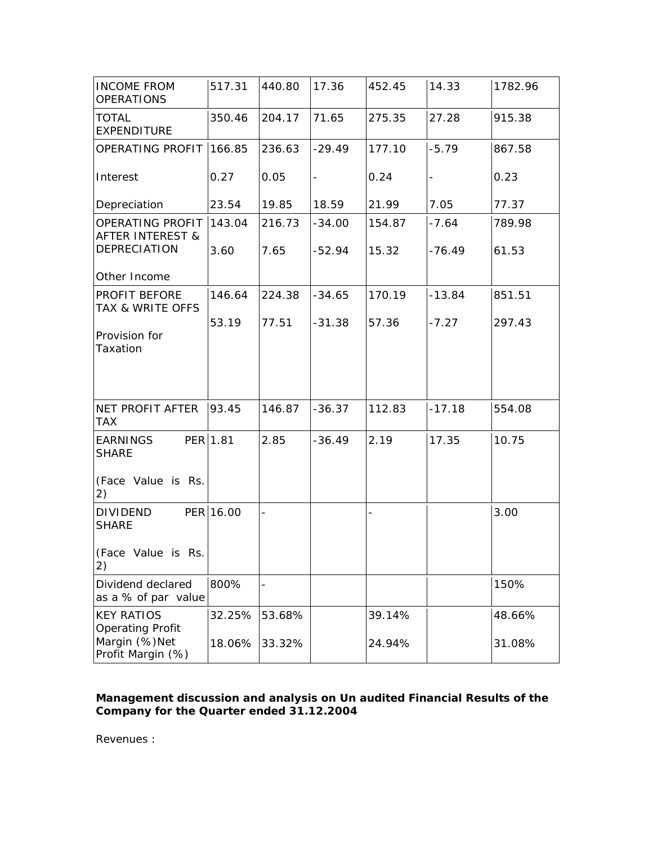| <b>INCOME FROM</b><br><b>OPERATIONS</b>                     | 517.31    | 440.80                   | 17.36    | 452.45 | 14.33                    | 1782.96 |
|-------------------------------------------------------------|-----------|--------------------------|----------|--------|--------------------------|---------|
| <b>TOTAL</b><br><b>EXPENDITURE</b>                          | 350.46    | 204.17                   | 71.65    | 275.35 | 27.28                    | 915.38  |
| OPERATING PROFIT                                            | 166.85    | 236.63                   | $-29.49$ | 177.10 | $-5.79$                  | 867.58  |
| Interest                                                    | 0.27      | 0.05                     | -        | 0.24   | $\overline{\phantom{0}}$ | 0.23    |
| Depreciation                                                | 23.54     | 19.85                    | 18.59    | 21.99  | 7.05                     | 77.37   |
| OPERATING PROFIT<br><b>AFTER INTEREST &amp;</b>             | 143.04    | 216.73                   | $-34.00$ | 154.87 | $-7.64$                  | 789.98  |
| DEPRECIATION                                                | 3.60      | 7.65                     | -52.94   | 15.32  | $-76.49$                 | 61.53   |
| Other Income                                                |           |                          |          |        |                          |         |
| PROFIT BEFORE<br>TAX & WRITE OFFS                           | 146.64    | 224.38                   | $-34.65$ | 170.19 | $-13.84$                 | 851.51  |
| Provision for<br>Taxation                                   | 53.19     | 77.51                    | $-31.38$ | 57.36  | $-7.27$                  | 297.43  |
| NET PROFIT AFTER<br><b>TAX</b>                              | 93.45     | 146.87                   | $-36.37$ | 112.83 | $-17.18$                 | 554.08  |
| <b>EARNINGS</b><br><b>SHARE</b><br>(Face Value is Rs.<br>2) | PER 1.81  | 2.85                     | $-36.49$ | 2.19   | 17.35                    | 10.75   |
| <b>DIVIDEND</b><br><b>SHARE</b><br>(Face Value is Rs.<br>2) | PER 16.00 | $\overline{\phantom{0}}$ |          |        |                          | 3.00    |
| Dividend declared<br>as a % of par value                    | 800%      |                          |          |        |                          | 150%    |
| <b>KEY RATIOS</b><br><b>Operating Profit</b>                | 32.25%    | 53.68%                   |          | 39.14% |                          | 48.66%  |
| Margin (%)Net<br>Profit Margin (%)                          | 18.06%    | 33.32%                   |          | 24.94% |                          | 31.08%  |

# *Management discussion and analysis on Un audited Financial Results of the Company for the Quarter ended 31.12.2004*

Revenues :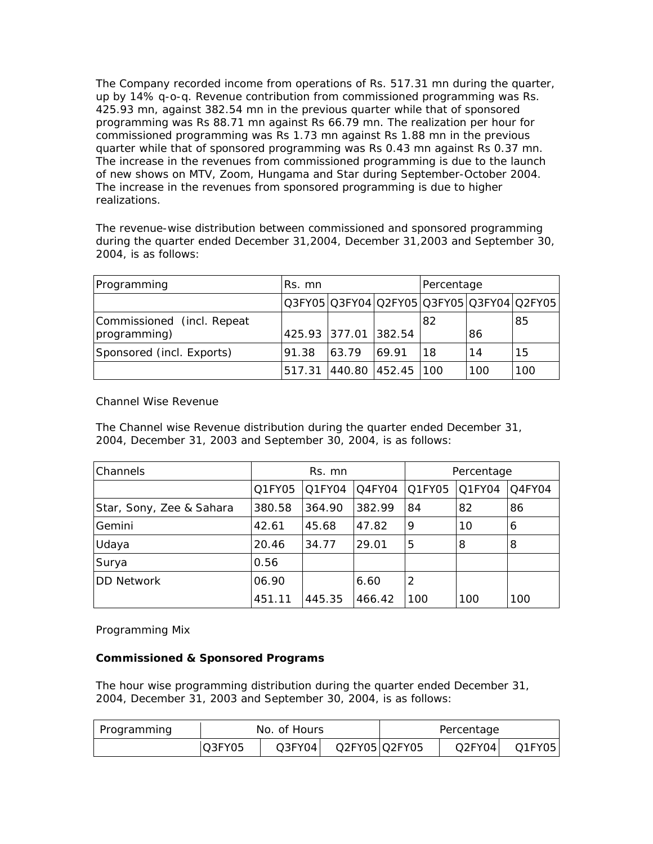The Company recorded income from operations of Rs. 517.31 mn during the quarter, up by 14% q-o-q. Revenue contribution from commissioned programming was Rs. 425.93 mn, against 382.54 mn in the previous quarter while that of sponsored programming was Rs 88.71 mn against Rs 66.79 mn. The realization per hour for commissioned programming was Rs 1.73 mn against Rs 1.88 mn in the previous quarter while that of sponsored programming was Rs 0.43 mn against Rs 0.37 mn. The increase in the revenues from commissioned programming is due to the launch of new shows on MTV, Zoom, Hungama and Star during September-October 2004. The increase in the revenues from sponsored programming is due to higher realizations.

The revenue-wise distribution between commissioned and sponsored programming during the quarter ended December 31,2004, December 31,2003 and September 30, 2004, is as follows:

| Programming                                | Rs. mn |                          |       | Percentage |     |                                           |
|--------------------------------------------|--------|--------------------------|-------|------------|-----|-------------------------------------------|
|                                            |        |                          |       |            |     | Q3FY05 Q3FY04 Q2FY05 Q3FY05 Q3FY04 Q2FY05 |
| Commissioned (incl. Repeat<br>programming) |        | 425.93 377.01 382.54     |       | 82         | 86  | 85                                        |
| Sponsored (incl. Exports)                  | 91.38  | 63.79                    | 69.91 | 18         | 14  | 15                                        |
|                                            |        | 517.31 440.80 452.45 100 |       |            | 100 | 100                                       |

Channel Wise Revenue

The Channel wise Revenue distribution during the quarter ended December 31, 2004, December 31, 2003 and September 30, 2004, is as follows:

| Channels                 | Rs. mn |        |        | Percentage |        |        |  |
|--------------------------|--------|--------|--------|------------|--------|--------|--|
|                          | Q1FY05 | Q1FY04 | Q4FY04 | O1FY05     | Q1FY04 | Q4FY04 |  |
| Star, Sony, Zee & Sahara | 380.58 | 364.90 | 382.99 | 84         | 82     | 86     |  |
| Gemini                   | 42.61  | 45.68  | 47.82  | 9          | 10     | 6      |  |
| Udaya                    | 20.46  | 34.77  | 29.01  | 5          | 8      | 8      |  |
| Surya                    | 0.56   |        |        |            |        |        |  |
| <b>DD Network</b>        | 06.90  |        | 6.60   | 2          |        |        |  |
|                          | 451.11 | 445.35 | 466.42 | 100        | 100    | 100    |  |

Programming Mix

## **Commissioned & Sponsored Programs**

The hour wise programming distribution during the quarter ended December 31, 2004, December 31, 2003 and September 30, 2004, is as follows:

| Programming | No. of Hours |        |               | Percentage |        |        |  |
|-------------|--------------|--------|---------------|------------|--------|--------|--|
|             | Q3FY05       | O3FY04 | Q2FY05 Q2FY05 |            | Q2FY04 | Q1FY05 |  |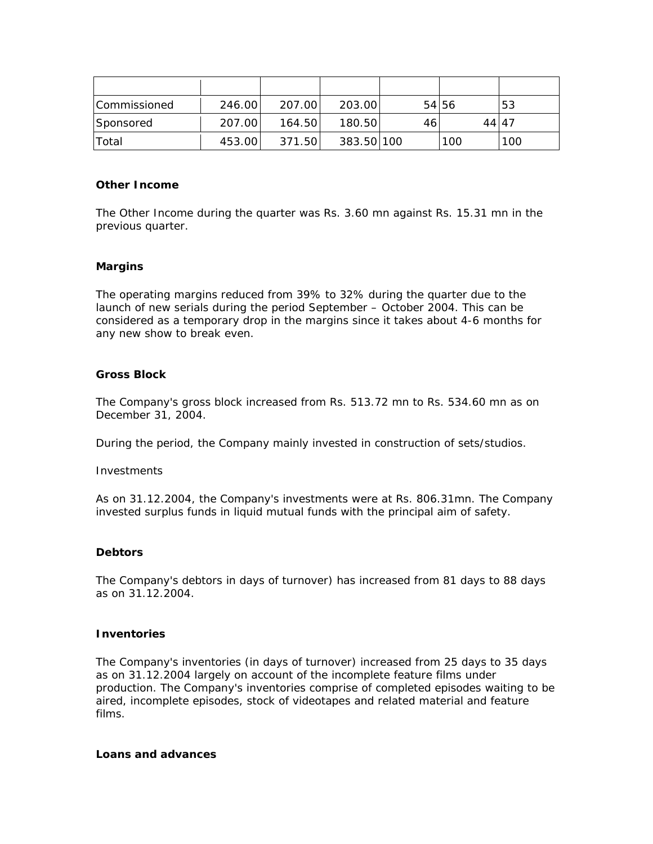| <b>Commissioned</b> | 246.00 | 207.00 | 203.00     |    | 54 56 | 53  |
|---------------------|--------|--------|------------|----|-------|-----|
| <b>Sponsored</b>    | 207.00 | 164.50 | 180.50     | 46 | 44147 |     |
| Total               | 453.00 | 371.50 | 383.50 100 |    | 100   | 100 |

#### **Other Income**

The Other Income during the quarter was Rs. 3.60 mn against Rs. 15.31 mn in the previous quarter.

#### **Margins**

The operating margins reduced from 39% to 32% during the quarter due to the launch of new serials during the period September – October 2004. This can be considered as a temporary drop in the margins since it takes about 4-6 months for any new show to break even.

#### **Gross Block**

The Company's gross block increased from Rs. 513.72 mn to Rs. 534.60 mn as on December 31, 2004.

During the period, the Company mainly invested in construction of sets/studios.

#### **Investments**

As on 31.12.2004, the Company's investments were at Rs. 806.31mn. The Company invested surplus funds in liquid mutual funds with the principal aim of safety.

#### **Debtors**

The Company's debtors in days of turnover) has increased from 81 days to 88 days as on 31.12.2004.

#### **Inventories**

The Company's inventories (in days of turnover) increased from 25 days to 35 days as on 31.12.2004 largely on account of the incomplete feature films under production. The Company's inventories comprise of completed episodes waiting to be aired, incomplete episodes, stock of videotapes and related material and feature films.

#### **Loans and advances**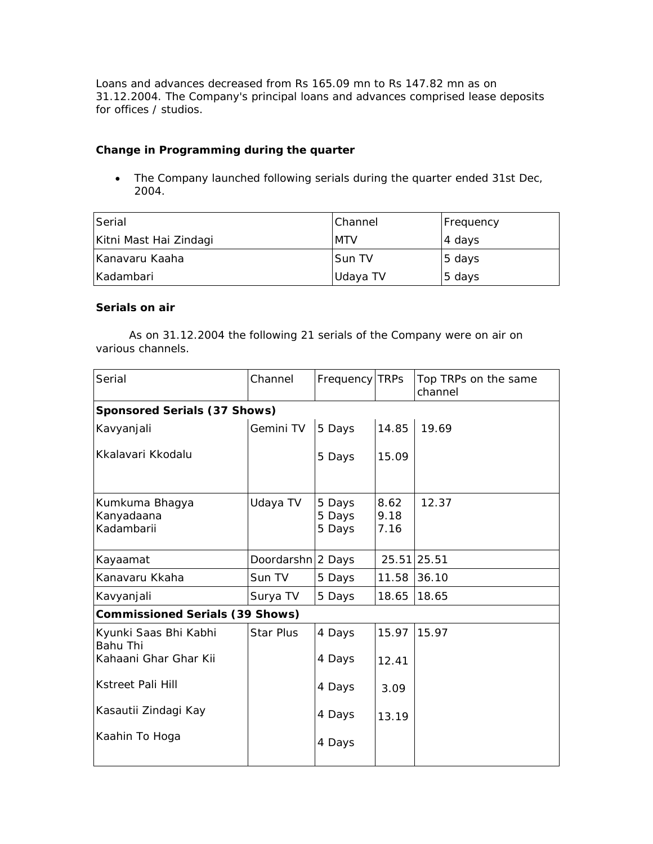Loans and advances decreased from Rs 165.09 mn to Rs 147.82 mn as on 31.12.2004. The Company's principal loans and advances comprised lease deposits for offices / studios.

## **Change in Programming during the quarter**

• The Company launched following serials during the quarter ended 31st Dec, 2004.

| Serial                 | <b>Channel</b> | Frequency |
|------------------------|----------------|-----------|
| Kitni Mast Hai Zindagi | <b>MTV</b>     | 4 days    |
| IKanavaru Kaaha        | Sun TV         | 5 days    |
| l Kadambari            | Udaya TV       | 5 days    |

# **Serials on air**

 As on 31.12.2004 the following 21 serials of the Company were on air on various channels.

| Serial                                     | Channel           | Frequency TRPs             |                      | Top TRPs on the same<br>channel |
|--------------------------------------------|-------------------|----------------------------|----------------------|---------------------------------|
| Sponsored Serials (37 Shows)               |                   |                            |                      |                                 |
| Kavyanjali                                 | Gemini TV         | 5 Days                     | 14.85                | 19.69                           |
| Kkalavari Kkodalu                          |                   | 5 Days                     | 15.09                |                                 |
| Kumkuma Bhagya<br>Kanyadaana<br>Kadambarii | Udaya TV          | 5 Days<br>5 Days<br>5 Days | 8.62<br>9.18<br>7.16 | 12.37                           |
| Kayaamat                                   | Doordarshn 2 Days |                            |                      | 25.51 25.51                     |
| Kanavaru Kkaha                             | Sun TV            | 5 Days                     | 11.58                | 36.10                           |
| Kavyanjali                                 | Surya TV          | 5 Days                     | 18.65                | 18.65                           |
| <b>Commissioned Serials (39 Shows)</b>     |                   |                            |                      |                                 |
| Kyunki Saas Bhi Kabhi<br><b>Bahu Thi</b>   | <b>Star Plus</b>  | 4 Days                     | 15.97                | 15.97                           |
| Kahaani Ghar Ghar Kii                      |                   | 4 Days                     | 12.41                |                                 |
| <b>Kstreet Pali Hill</b>                   |                   | 4 Days                     | 3.09                 |                                 |
| Kasautii Zindagi Kay                       |                   | 4 Days                     | 13.19                |                                 |
| Kaahin To Hoga                             |                   | 4 Days                     |                      |                                 |
|                                            |                   |                            |                      |                                 |